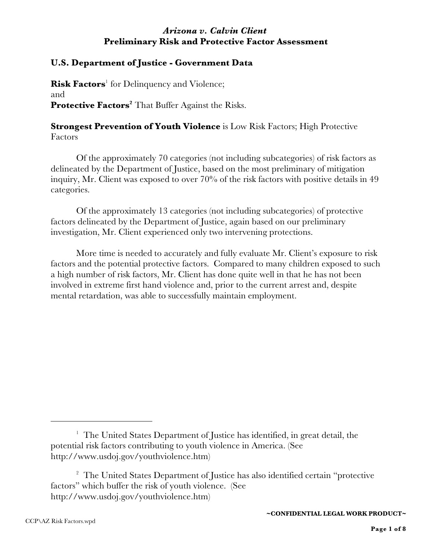# *Arizona v. Calvin Client* **Preliminary Risk and Protective Factor Assessment**

### **U.S. Department of Justice - Government Data**

**Risk Factors**<sup>1</sup> for Delinquency and Violence; and **Protective Factors<sup>2</sup> That Buffer Against the Risks.** 

# **Strongest Prevention of Youth Violence** is Low Risk Factors; High Protective Factors

Of the approximately 70 categories (not including subcategories) of risk factors as delineated by the Department of Justice, based on the most preliminary of mitigation inquiry, Mr. Client was exposed to over 70% of the risk factors with positive details in 49 categories.

Of the approximately 13 categories (not including subcategories) of protective factors delineated by the Department of Justice, again based on our preliminary investigation, Mr. Client experienced only two intervening protections.

More time is needed to accurately and fully evaluate Mr. Client's exposure to risk factors and the potential protective factors. Compared to many children exposed to such a high number of risk factors, Mr. Client has done quite well in that he has not been involved in extreme first hand violence and, prior to the current arrest and, despite mental retardation, was able to successfully maintain employment.

<sup>&</sup>lt;sup>1</sup> The United States Department of Justice has identified, in great detail, the potential risk factors contributing to youth violence in America. (See http://www.usdoj.gov/youthviolence.htm)

<sup>&</sup>lt;sup>2</sup> The United States Department of Justice has also identified certain "protective" factors" which buffer the risk of youth violence. (See http://www.usdoj.gov/youthviolence.htm)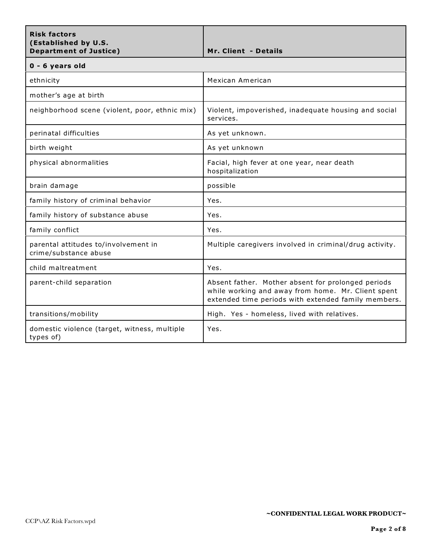| <b>Risk factors</b><br>(Established by U.S.<br><b>Department of Justice)</b> | Mr. Client - Details                                                                                                                                            |
|------------------------------------------------------------------------------|-----------------------------------------------------------------------------------------------------------------------------------------------------------------|
| 0 - 6 years old                                                              |                                                                                                                                                                 |
| ethnicity                                                                    | Mexican American                                                                                                                                                |
| mother's age at birth                                                        |                                                                                                                                                                 |
| neighborhood scene (violent, poor, ethnic mix)                               | Violent, impoverished, inadequate housing and social<br>services.                                                                                               |
| perinatal difficulties                                                       | As yet unknown.                                                                                                                                                 |
| birth weight                                                                 | As yet unknown                                                                                                                                                  |
| physical abnormalities                                                       | Facial, high fever at one year, near death<br>hospitalization                                                                                                   |
| brain damage                                                                 | possible                                                                                                                                                        |
| family history of criminal behavior                                          | Yes.                                                                                                                                                            |
| family history of substance abuse                                            | Yes.                                                                                                                                                            |
| family conflict                                                              | Yes.                                                                                                                                                            |
| parental attitudes to/involvement in<br>crime/substance abuse                | Multiple caregivers involved in criminal/drug activity.                                                                                                         |
| child maltreatment                                                           | Yes.                                                                                                                                                            |
| parent-child separation                                                      | Absent father. Mother absent for prolonged periods<br>while working and away from home. Mr. Client spent<br>extended time periods with extended family members. |
| transitions/mobility                                                         | High. Yes - homeless, lived with relatives.                                                                                                                     |
| domestic violence (target, witness, multiple<br>types of)                    | Yes.                                                                                                                                                            |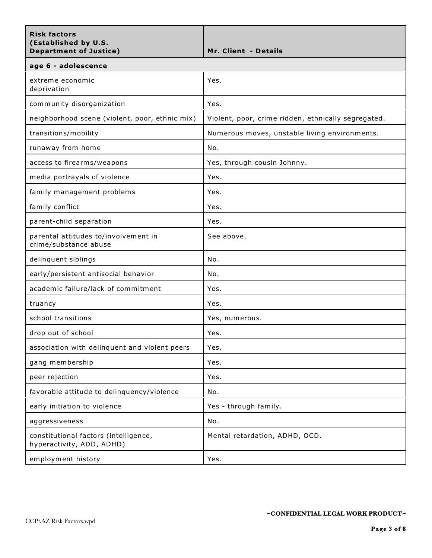| <b>Risk factors</b><br>(Established by U.S.<br><b>Department of Justice)</b> | <b>Mr. Client - Details</b>                         |
|------------------------------------------------------------------------------|-----------------------------------------------------|
| age 6 - adolescence                                                          |                                                     |
| extreme economic<br>deprivation                                              | Yes.                                                |
| community disorganization                                                    | Yes.                                                |
| neighborhood scene (violent, poor, ethnic mix)                               | Violent, poor, crime ridden, ethnically segregated. |
| transitions/mobility                                                         | Numerous moves, unstable living environments.       |
| runaway from home                                                            | No.                                                 |
| access to firearms/weapons                                                   | Yes, through cousin Johnny.                         |
| media portrayals of violence                                                 | Yes.                                                |
| family management problems                                                   | Yes.                                                |
| family conflict                                                              | Yes.                                                |
| parent-child separation                                                      | Yes.                                                |
| parental attitudes to/involvement in<br>crime/substance abuse                | See above.                                          |
| delinquent siblings                                                          | No.                                                 |
| early/persistent antisocial behavior                                         | No.                                                 |
| academic failure/lack of commitment                                          | Yes.                                                |
| truancy                                                                      | Yes.                                                |
| school transitions                                                           | Yes, numerous.                                      |
| drop out of school                                                           | Yes.                                                |
| association with delinquent and violent peers                                | Yes.                                                |
| gang membership                                                              | Yes.                                                |
| peer rejection                                                               | Yes.                                                |
| favorable attitude to delinquency/violence                                   | No.                                                 |
| early initiation to violence                                                 | Yes - through family.                               |
| aggressiveness                                                               | No.                                                 |
| constitutional factors (intelligence,<br>hyperactivity, ADD, ADHD)           | Mental retardation, ADHD, OCD.                      |
| employment history                                                           | Yes.                                                |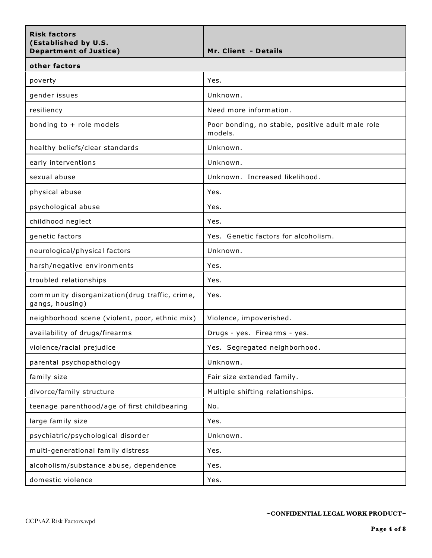| <b>Risk factors</b><br>(Established by U.S.<br><b>Department of Justice)</b> | Mr. Client - Details                                         |
|------------------------------------------------------------------------------|--------------------------------------------------------------|
| other factors                                                                |                                                              |
| poverty                                                                      | Yes.                                                         |
| gender issues                                                                | Unknown.                                                     |
| resiliency                                                                   | Need more information.                                       |
| bonding to + role models                                                     | Poor bonding, no stable, positive adult male role<br>models. |
| healthy beliefs/clear standards                                              | Unknown.                                                     |
| early interventions                                                          | Unknown.                                                     |
| sexual abuse                                                                 | Unknown. Increased likelihood.                               |
| physical abuse                                                               | Yes.                                                         |
| psychological abuse                                                          | Yes.                                                         |
| childhood neglect                                                            | Yes.                                                         |
| genetic factors                                                              | Yes. Genetic factors for alcoholism.                         |
| neurological/physical factors                                                | Unknown.                                                     |
| harsh/negative environments                                                  | Yes.                                                         |
| troubled relationships                                                       | Yes.                                                         |
| community disorganization(drug traffic, crime,<br>gangs, housing)            | Yes.                                                         |
| neighborhood scene (violent, poor, ethnic mix)                               | Violence, impoverished.                                      |
| availability of drugs/firearms                                               | Drugs - yes. Firearms - yes.                                 |
| violence/racial prejudice                                                    | Yes. Segregated neighborhood.                                |
| parental psychopathology                                                     | Unknown.                                                     |
| family size                                                                  | Fair size extended family.                                   |
| divorce/family structure                                                     | Multiple shifting relationships.                             |
| teenage parenthood/age of first childbearing                                 | No.                                                          |
| large family size                                                            | Yes.                                                         |
| psychiatric/psychological disorder                                           | Unknown.                                                     |
| multi-generational family distress                                           | Yes.                                                         |
| alcoholism/substance abuse, dependence                                       | Yes.                                                         |
| domestic violence                                                            | Yes.                                                         |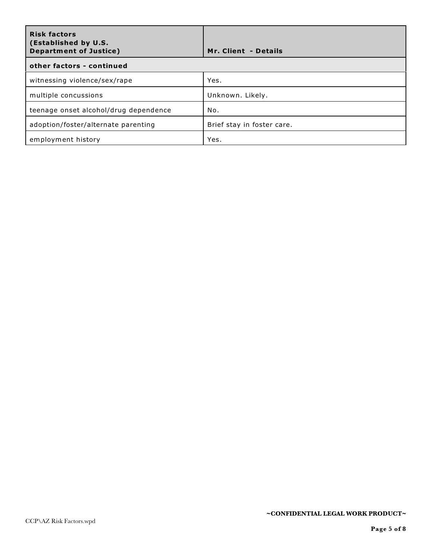| <b>Risk factors</b><br>(Established by U.S.<br><b>Department of Justice)</b> | Mr. Client - Details       |  |
|------------------------------------------------------------------------------|----------------------------|--|
| other factors - continued                                                    |                            |  |
| witnessing violence/sex/rape                                                 | Yes.                       |  |
| multiple concussions                                                         | Unknown. Likely.           |  |
| teenage onset alcohol/drug dependence                                        | No.                        |  |
| adoption/foster/alternate parenting                                          | Brief stay in foster care. |  |
| employment history                                                           | Yes.                       |  |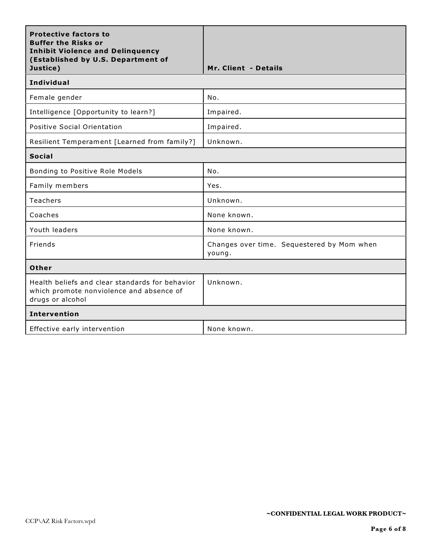| <b>Protective factors to</b><br><b>Buffer the Risks or</b><br><b>Inhibit Violence and Delinquency</b><br>(Established by U.S. Department of<br>Justice) | Mr. Client - Details                                 |  |
|---------------------------------------------------------------------------------------------------------------------------------------------------------|------------------------------------------------------|--|
| <b>Individual</b>                                                                                                                                       |                                                      |  |
| Female gender                                                                                                                                           | No.                                                  |  |
| Intelligence [Opportunity to learn?]                                                                                                                    | Impaired.                                            |  |
| Positive Social Orientation                                                                                                                             | Impaired.                                            |  |
| Resilient Temperament [Learned from family?]                                                                                                            | Unknown.                                             |  |
| <b>Social</b>                                                                                                                                           |                                                      |  |
| Bonding to Positive Role Models                                                                                                                         | No.                                                  |  |
| Family members                                                                                                                                          | Yes.                                                 |  |
| Teachers                                                                                                                                                | Unknown.                                             |  |
| Coaches                                                                                                                                                 | None known.                                          |  |
| Youth leaders                                                                                                                                           | None known.                                          |  |
| Friends                                                                                                                                                 | Changes over time. Sequestered by Mom when<br>young. |  |
| Other                                                                                                                                                   |                                                      |  |
| Health beliefs and clear standards for behavior<br>which promote nonviolence and absence of<br>drugs or alcohol                                         | Unknown.                                             |  |
| <b>Intervention</b>                                                                                                                                     |                                                      |  |
| Effective early intervention                                                                                                                            | None known.                                          |  |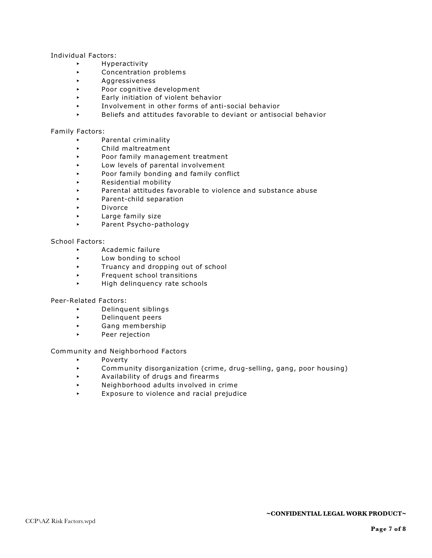Individual Factors:

- < Hyperactivity
- **EXECONCENTER CONCENTENT CONCENTENTS**
- < Aggressiveness
- < Poor cognitive development
- < Early initiation of violent behavior
- < Involvement in other forms of anti-social behavior
- < Beliefs and attitudes favorable to deviant or antisocial behavior

#### Family Factors:

- < Parental criminality
- < Child maltreatment
- < Poor family management treatment
- **Low levels of parental involvement**
- < Poor family bonding and family conflict
- < Residential mobility
- < Parental attitudes favorable to violence and substance abuse
- < Parent-child separation
- < Divorce
- **Example 1** Large family size
- < Parent Psycho-pathology

#### School Factors:

- < Academic failure
- **Low bonding to school**
- Truancy and dropping out of school
- **Frequent school transitions**
- < High delinquency rate schools

Peer-Related Factors:

- < Delinquent siblings
- < Delinquent peers
- < Gang membership
- < Peer rejection

Community and Neighborhood Factors

- < Poverty
- < Community disorganization (crime, drug-selling, gang, poor housing)
- < Availability of drugs and firearms
- < Neighborhood adults involved in crime
- < Exposure to violence and racial prejudice